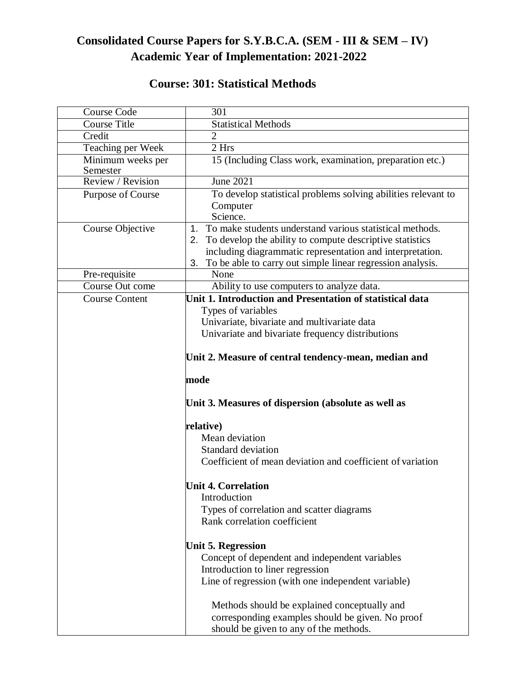## **Consolidated Course Papers for S.Y.B.C.A. (SEM - III & SEM – IV) Academic Year of Implementation: 2021-2022**

## **Course: 301: Statistical Methods**

| <b>Course Code</b>            | 301                                                                                                                                                                                                                                                                 |
|-------------------------------|---------------------------------------------------------------------------------------------------------------------------------------------------------------------------------------------------------------------------------------------------------------------|
| <b>Course Title</b>           | <b>Statistical Methods</b>                                                                                                                                                                                                                                          |
| Credit                        | $\overline{2}$                                                                                                                                                                                                                                                      |
| Teaching per Week             | 2 Hrs                                                                                                                                                                                                                                                               |
| Minimum weeks per<br>Semester | 15 (Including Class work, examination, preparation etc.)                                                                                                                                                                                                            |
| Review / Revision             | <b>June 2021</b>                                                                                                                                                                                                                                                    |
| Purpose of Course             | To develop statistical problems solving abilities relevant to<br>Computer<br>Science.                                                                                                                                                                               |
| Course Objective              | To make students understand various statistical methods.<br>$1_{-}$<br>2. To develop the ability to compute descriptive statistics<br>including diagrammatic representation and interpretation.<br>To be able to carry out simple linear regression analysis.<br>3. |
| Pre-requisite                 | None                                                                                                                                                                                                                                                                |
| Course Out come               | Ability to use computers to analyze data.                                                                                                                                                                                                                           |
| <b>Course Content</b>         | Unit 1. Introduction and Presentation of statistical data<br>Types of variables<br>Univariate, bivariate and multivariate data<br>Univariate and bivariate frequency distributions                                                                                  |
|                               | Unit 2. Measure of central tendency-mean, median and                                                                                                                                                                                                                |
|                               | mode                                                                                                                                                                                                                                                                |
|                               | Unit 3. Measures of dispersion (absolute as well as                                                                                                                                                                                                                 |
|                               | relative)                                                                                                                                                                                                                                                           |
|                               | Mean deviation                                                                                                                                                                                                                                                      |
|                               | Standard deviation                                                                                                                                                                                                                                                  |
|                               | Coefficient of mean deviation and coefficient of variation                                                                                                                                                                                                          |
|                               | <b>Unit 4. Correlation</b><br>Introduction                                                                                                                                                                                                                          |
|                               | Types of correlation and scatter diagrams                                                                                                                                                                                                                           |
|                               | Rank correlation coefficient                                                                                                                                                                                                                                        |
|                               | <b>Unit 5. Regression</b>                                                                                                                                                                                                                                           |
|                               | Concept of dependent and independent variables                                                                                                                                                                                                                      |
|                               | Introduction to liner regression                                                                                                                                                                                                                                    |
|                               | Line of regression (with one independent variable)                                                                                                                                                                                                                  |
|                               | Methods should be explained conceptually and                                                                                                                                                                                                                        |
|                               | corresponding examples should be given. No proof                                                                                                                                                                                                                    |
|                               | should be given to any of the methods.                                                                                                                                                                                                                              |